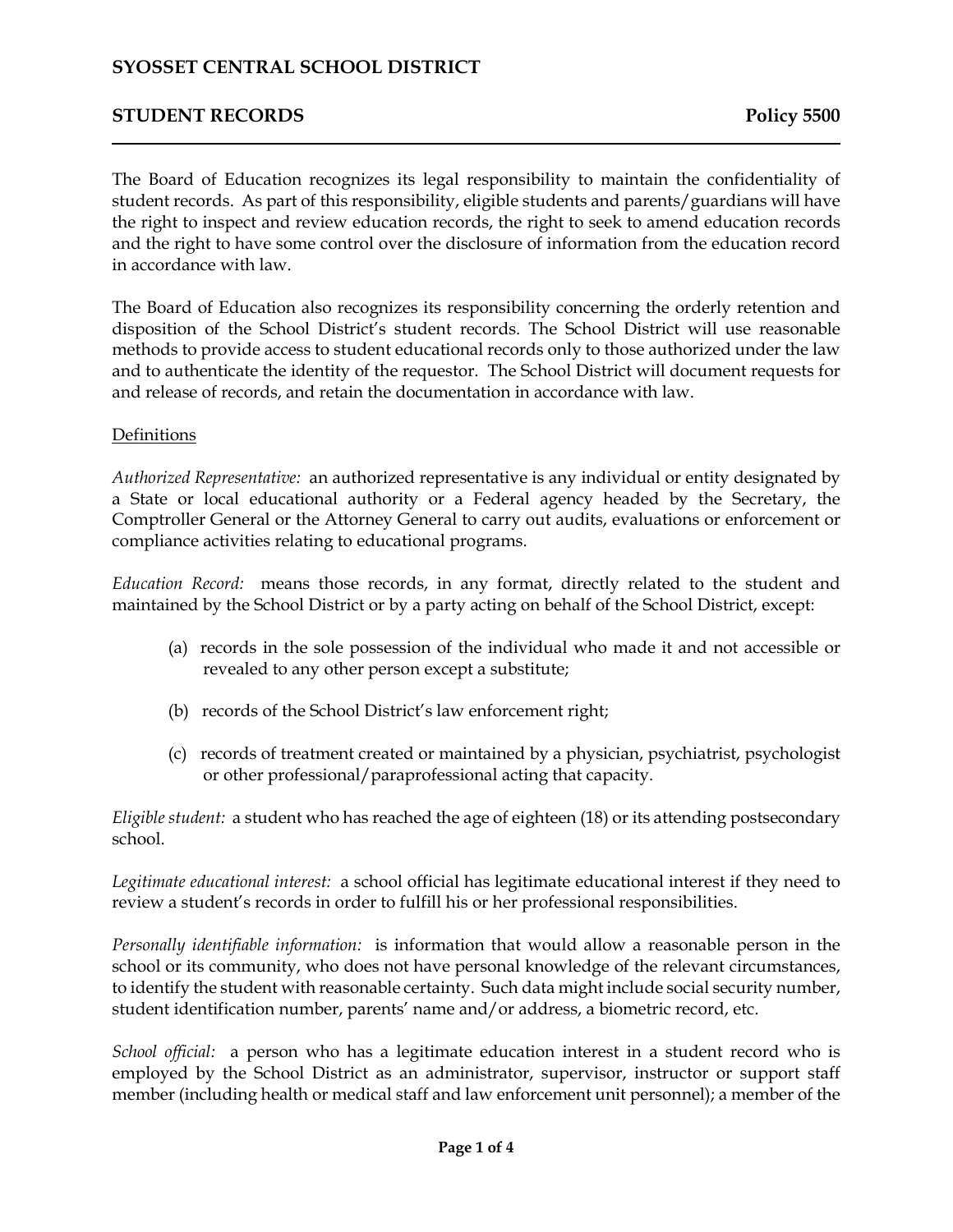# **SYOSSET CENTRAL SCHOOL DISTRICT**

### **STUDENT RECORDS Policy 5500**

The Board of Education recognizes its legal responsibility to maintain the confidentiality of student records. As part of this responsibility, eligible students and parents/guardians will have the right to inspect and review education records, the right to seek to amend education records and the right to have some control over the disclosure of information from the education record in accordance with law.

The Board of Education also recognizes its responsibility concerning the orderly retention and disposition of the School District's student records. The School District will use reasonable methods to provide access to student educational records only to those authorized under the law and to authenticate the identity of the requestor. The School District will document requests for and release of records, and retain the documentation in accordance with law.

#### Definitions

*Authorized Representative:* an authorized representative is any individual or entity designated by a State or local educational authority or a Federal agency headed by the Secretary, the Comptroller General or the Attorney General to carry out audits, evaluations or enforcement or compliance activities relating to educational programs.

*Education Record:* means those records, in any format, directly related to the student and maintained by the School District or by a party acting on behalf of the School District, except:

- (a) records in the sole possession of the individual who made it and not accessible or revealed to any other person except a substitute;
- (b) records of the School District's law enforcement right;
- (c) records of treatment created or maintained by a physician, psychiatrist, psychologist or other professional/paraprofessional acting that capacity.

*Eligible student:* a student who has reached the age of eighteen (18) or its attending postsecondary school.

*Legitimate educational interest:* a school official has legitimate educational interest if they need to review a student's records in order to fulfill his or her professional responsibilities.

*Personally identifiable information:* is information that would allow a reasonable person in the school or its community, who does not have personal knowledge of the relevant circumstances, to identify the student with reasonable certainty. Such data might include social security number, student identification number, parents' name and/or address, a biometric record, etc.

*School official:* a person who has a legitimate education interest in a student record who is employed by the School District as an administrator, supervisor, instructor or support staff member (including health or medical staff and law enforcement unit personnel); a member of the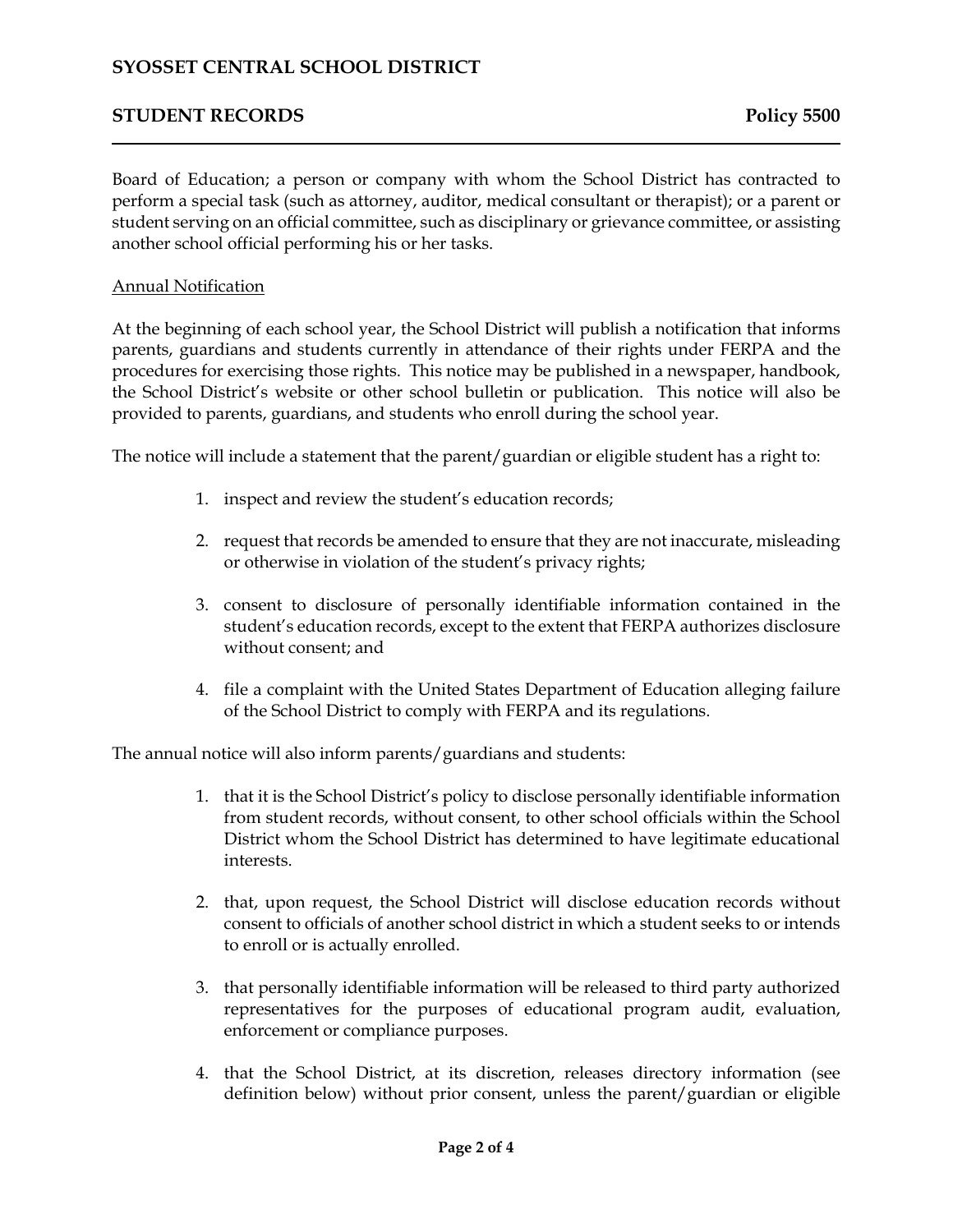# **SYOSSET CENTRAL SCHOOL DISTRICT**

## **STUDENT RECORDS Policy 5500**

Board of Education; a person or company with whom the School District has contracted to perform a special task (such as attorney, auditor, medical consultant or therapist); or a parent or student serving on an official committee, such as disciplinary or grievance committee, or assisting another school official performing his or her tasks.

#### Annual Notification

At the beginning of each school year, the School District will publish a notification that informs parents, guardians and students currently in attendance of their rights under FERPA and the procedures for exercising those rights. This notice may be published in a newspaper, handbook, the School District's website or other school bulletin or publication. This notice will also be provided to parents, guardians, and students who enroll during the school year.

The notice will include a statement that the parent/guardian or eligible student has a right to:

- 1. inspect and review the student's education records;
- 2. request that records be amended to ensure that they are not inaccurate, misleading or otherwise in violation of the student's privacy rights;
- 3. consent to disclosure of personally identifiable information contained in the student's education records, except to the extent that FERPA authorizes disclosure without consent; and
- 4. file a complaint with the United States Department of Education alleging failure of the School District to comply with FERPA and its regulations.

The annual notice will also inform parents/guardians and students:

- 1. that it is the School District's policy to disclose personally identifiable information from student records, without consent, to other school officials within the School District whom the School District has determined to have legitimate educational interests.
- 2. that, upon request, the School District will disclose education records without consent to officials of another school district in which a student seeks to or intends to enroll or is actually enrolled.
- 3. that personally identifiable information will be released to third party authorized representatives for the purposes of educational program audit, evaluation, enforcement or compliance purposes.
- 4. that the School District, at its discretion, releases directory information (see definition below) without prior consent, unless the parent/guardian or eligible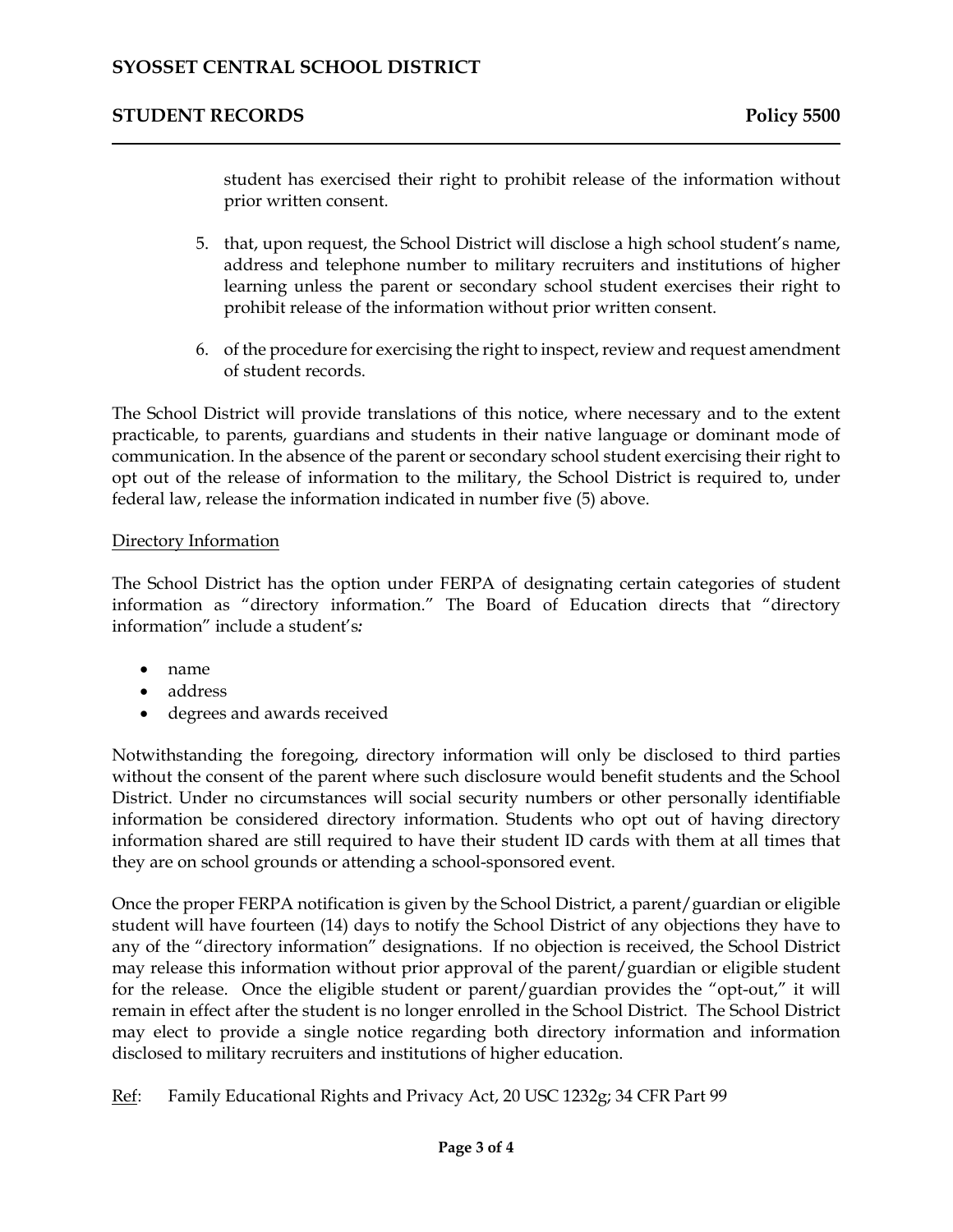### **STUDENT RECORDS Policy 5500**

student has exercised their right to prohibit release of the information without prior written consent.

- 5. that, upon request, the School District will disclose a high school student's name, address and telephone number to military recruiters and institutions of higher learning unless the parent or secondary school student exercises their right to prohibit release of the information without prior written consent.
- 6. of the procedure for exercising the right to inspect, review and request amendment of student records.

The School District will provide translations of this notice, where necessary and to the extent practicable, to parents, guardians and students in their native language or dominant mode of communication. In the absence of the parent or secondary school student exercising their right to opt out of the release of information to the military, the School District is required to, under federal law, release the information indicated in number five (5) above.

#### Directory Information

The School District has the option under FERPA of designating certain categories of student information as "directory information." The Board of Education directs that "directory information" include a student's*:*

- name
- address
- degrees and awards received

Notwithstanding the foregoing, directory information will only be disclosed to third parties without the consent of the parent where such disclosure would benefit students and the School District. Under no circumstances will social security numbers or other personally identifiable information be considered directory information. Students who opt out of having directory information shared are still required to have their student ID cards with them at all times that they are on school grounds or attending a school-sponsored event.

Once the proper FERPA notification is given by the School District, a parent/guardian or eligible student will have fourteen (14) days to notify the School District of any objections they have to any of the "directory information" designations. If no objection is received, the School District may release this information without prior approval of the parent/guardian or eligible student for the release. Once the eligible student or parent/guardian provides the "opt-out," it will remain in effect after the student is no longer enrolled in the School District. The School District may elect to provide a single notice regarding both directory information and information disclosed to military recruiters and institutions of higher education.

Ref: Family Educational Rights and Privacy Act, 20 USC 1232g; 34 CFR Part 99